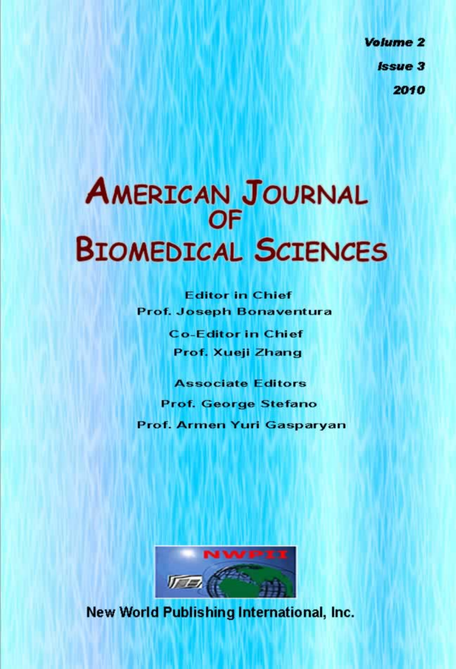**Volume 2 Issue 3** 2010

# **AMERICAN JOURNAL BIOMEDICAL SCIENCES**

**Editor in Chief** Prof. Joseph Bonaventura

> **Co-Editor in Chief** Prof. Xueji Zhang

**Associate Editors Prof. George Stefano** Prof. Armen Yuri Gasparyan



New World Publishing International, Inc.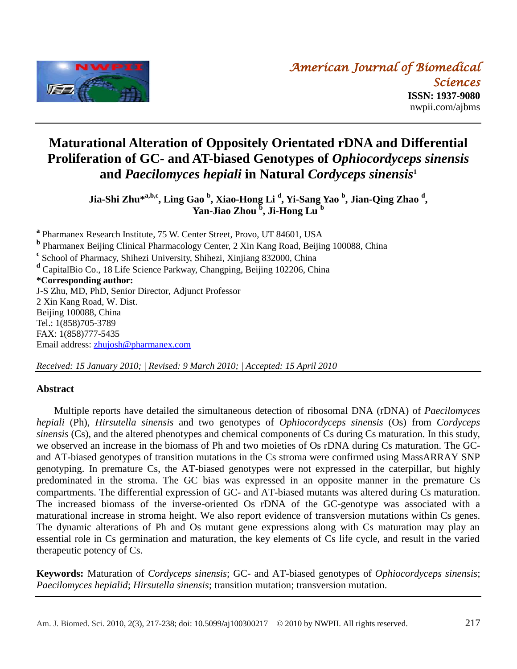

# **Maturational Alteration of Oppositely Orientated rDNA and Differential Proliferation of GC- and AT-biased Genotypes of** *Ophiocordyceps sinensis* **and** *Paecilomyces hepiali* **in Natural** *Cordyceps sinensis***<sup>1</sup>**

**Jia-Shi Zhu\* a,b,c, Ling Gao <sup>b</sup> , Xiao-Hong Li <sup>d</sup> , Yi-Sang Yao <sup>b</sup> , Jian-Qing Zhao <sup>d</sup> , Yan-Jiao Zhou <sup>b</sup> , Ji-Hong Lu <sup>b</sup>**

**a** Pharmanex Research Institute, 75 W. Center Street, Provo, UT 84601, USA **b** Pharmanex Beijing Clinical Pharmacology Center, 2 Xin Kang Road, Beijing 100088, China <sup>c</sup> School of Pharmacy, Shihezi University, Shihezi, Xinjiang 832000, China **<sup>d</sup>** CapitalBio Co., 18 Life Science Parkway, Changping, Beijing 102206, China **\*Corresponding author:** J-S Zhu, MD, PhD, Senior Director, Adjunct Professor 2 Xin Kang Road, W. Dist. Beijing 100088, China Tel.: 1(858)705-3789 FAX: 1(858)777-5435 Email address: [zhujosh@pharmanex.com](mailto:zhujosh@pharmanex.com)

*Received: 15 January 2010; | Revised: 9 March 2010; | Accepted: 15 April 2010*

#### **Abstract**

Multiple reports have detailed the simultaneous detection of ribosomal DNA (rDNA) of *Paecilomyces hepiali* (Ph), *Hirsutella sinensis* and two genotypes of *Ophiocordyceps sinensis* (Os) from *Cordyceps sinensis* (Cs), and the altered phenotypes and chemical components of Cs during Cs maturation. In this study, we observed an increase in the biomass of Ph and two moieties of Os rDNA during Cs maturation. The GCand AT-biased genotypes of transition mutations in the Cs stroma were confirmed using MassARRAY SNP genotyping. In premature Cs, the AT-biased genotypes were not expressed in the caterpillar, but highly predominated in the stroma. The GC bias was expressed in an opposite manner in the premature Cs compartments. The differential expression of GC- and AT-biased mutants was altered during Cs maturation. The increased biomass of the inverse-oriented Os rDNA of the GC-genotype was associated with a maturational increase in stroma height. We also report evidence of transversion mutations within Cs genes. The dynamic alterations of Ph and Os mutant gene expressions along with Cs maturation may play an essential role in Cs germination and maturation, the key elements of Cs life cycle, and result in the varied therapeutic potency of Cs.

**Keywords:** Maturation of *Cordyceps sinensis*; GC- and AT-biased genotypes of *Ophiocordyceps sinensis*; *Paecilomyces hepialid*; *Hirsutella sinensis*; transition mutation; transversion mutation.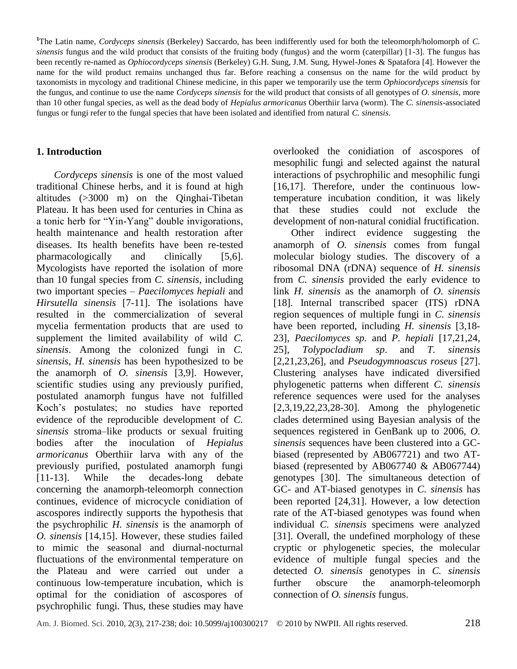<sup>1</sup>The Latin name, *Cordyceps sinensis* (Berkeley) Saccardo, has been indifferently used for both the teleomorph/holomorph of *C*. *sinensis* fungus and the wild product that consists of the fruiting body (fungus) and the worm (caterpillar) [1-3]. The fungus has been recently re-named as *Ophiocordyceps sinensis* (Berkeley) G.H. Sung, J.M. Sung, Hywel-Jones & Spatafora [4]. However the name for the wild product remains unchanged thus far. Before reaching a consensus on the name for the wild product by taxonomists in mycology and traditional Chinese medicine, in this paper we temporarily use the term *Ophiocordyceps sinensis* for the fungus, and continue to use the name *Cordyceps sinensis* for the wild product that consists of all genotypes of *O. sinensis*, more than 10 other fungal species, as well as the dead body of *Hepialus armoricanus* Oberthiir larva (worm). The *C. sinensis*-associated fungus or fungi refer to the fungal species that have been isolated and identified from natural *C. sinensis*.

#### **1. Introduction**

*Cordyceps sinensis* is one of the most valued traditional Chinese herbs, and it is found at high altitudes (>3000 m) on the Qinghai-Tibetan Plateau. It has been used for centuries in China as a tonic herb for "Yin-Yang" double invigorations, health maintenance and health restoration after diseases. Its health benefits have been re-tested pharmacologically and clinically [5,6]. Mycologists have reported the isolation of more than 10 fungal species from *C. sinensis*, including two important species – *Paecilomyces hepiali* and *Hirsutella sinensis* [7-11]. The isolations have resulted in the commercialization of several mycelia fermentation products that are used to supplement the limited availability of wild *C. sinensis*. Among the colonized fungi in *C. sinensis*, *H. sinensis* has been hypothesized to be the anamorph of *O. sinensis* [3,9]. However, scientific studies using any previously purified, postulated anamorph fungus have not fulfilled Koch's postulates; no studies have reported evidence of the reproducible development of *C. sinensis* stroma–like products or sexual fruiting bodies after the inoculation of *Hepialus armoricanus* Oberthiir larva with any of the previously purified, postulated anamorph fungi [11-13]. While the decades-long debate concerning the anamorph-teleomorph connection continues, evidence of microcycle conidiation of ascospores indirectly supports the hypothesis that the psychrophilic *H. sinensis* is the anamorph of *O. sinensis* [14,15]. However, these studies failed to mimic the seasonal and diurnal-nocturnal fluctuations of the environmental temperature on the Plateau and were carried out under a continuous low-temperature incubation, which is optimal for the conidiation of ascospores of psychrophilic fungi. Thus, these studies may have

overlooked the conidiation of ascospores of mesophilic fungi and selected against the natural interactions of psychrophilic and mesophilic fungi [16,17]. Therefore, under the continuous lowtemperature incubation condition, it was likely that these studies could not exclude the development of non-natural conidial fructification.

Other indirect evidence suggesting the anamorph of *O. sinensis* comes from fungal molecular biology studies. The discovery of a ribosomal DNA (rDNA) sequence of *H. sinensis* from *C. sinensis* provided the early evidence to link *H. sinensis* as the anamorph of *O. sinensis* [18]*.* Internal transcribed spacer (ITS) rDNA region sequences of multiple fungi in *C. sinensis* have been reported, including *H. sinensis* [3,18- 23], *Paecilomyces sp.* and *P. hepiali* [17,21,24, 25], *Tolypocladium sp*. and *T. sinensis*  [2,21,23,26]*,* and *Pseudogymnoascus roseus* [27]. Clustering analyses have indicated diversified phylogenetic patterns when different *C. sinensis* reference sequences were used for the analyses [2,3,19,22,23,28-30]. Among the phylogenetic clades determined using Bayesian analysis of the sequences registered in GenBank up to 2006, *O. sinensis* sequences have been clustered into a GCbiased (represented by AB067721) and two ATbiased (represented by AB067740 & AB067744) genotypes [30]. The simultaneous detection of GC- and AT-biased genotypes in *C. sinensis* has been reported [24,31]. However, a low detection rate of the AT-biased genotypes was found when individual *C. sinensis* specimens were analyzed [31]. Overall, the undefined morphology of these cryptic or phylogenetic species, the molecular evidence of multiple fungal species and the detected *O. sinensis* genotypes in *C. sinensis* further obscure the anamorph-teleomorph connection of *O. sinensis* fungus.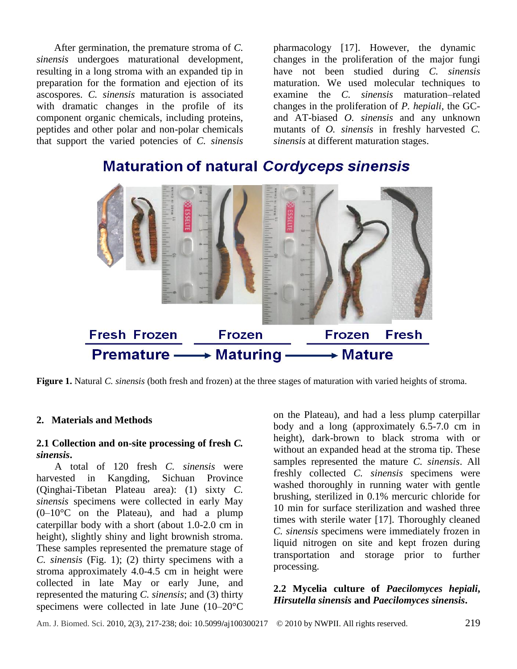After germination, the premature stroma of *C. sinensis* undergoes maturational development, resulting in a long stroma with an expanded tip in preparation for the formation and ejection of its ascospores. *C. sinensis* maturation is associated with dramatic changes in the profile of its component organic chemicals, including proteins, peptides and other polar and non-polar chemicals that support the varied potencies of *C. sinensis*

pharmacology [17]. However, the dynamic changes in the proliferation of the major fungi have not been studied during *C. sinensis* maturation. We used molecular techniques to examine the *C. sinensis* maturation–related changes in the proliferation of *P. hepiali*, the GCand AT-biased *O. sinensis* and any unknown mutants of *O. sinensis* in freshly harvested *C. sinensis* at different maturation stages.



# **Maturation of natural Cordyceps sinensis**

**Figure 1.** Natural *C. sinensis* (both fresh and frozen) at the three stages of maturation with varied heights of stroma.

#### **2. Materials and Methods**

#### **2.1 Collection and on-site processing of fresh** *C. sinensis***.**

A total of 120 fresh *C. sinensis* were harvested in Kangding, Sichuan Province (Qinghai-Tibetan Plateau area): (1) sixty *C. sinensis* specimens were collected in early May  $(0-10 \, \text{C})$  on the Plateau), and had a plump caterpillar body with a short (about 1.0-2.0 cm in height), slightly shiny and light brownish stroma. These samples represented the premature stage of *C. sinensis* (Fig. 1); (2) thirty specimens with a stroma approximately 4.0-4.5 cm in height were collected in late May or early June, and represented the maturing *C. sinensis*; and (3) thirty specimens were collected in late June  $(10-20 \text{ °C})$ 

on the Plateau), and had a less plump caterpillar body and a long (approximately 6.5-7.0 cm in height), dark-brown to black stroma with or without an expanded head at the stroma tip. These samples represented the mature *C. sinensis*. All freshly collected *C. sinensis* specimens were washed thoroughly in running water with gentle brushing, sterilized in 0.1% mercuric chloride for 10 min for surface sterilization and washed three times with sterile water [17]. Thoroughly cleaned *C. sinensis* specimens were immediately frozen in liquid nitrogen on site and kept frozen during transportation and storage prior to further processing.

#### **2.2 Mycelia culture of** *Paecilomyces hepiali***,**  *Hirsutella sinensis* **and** *Paecilomyces sinensis***.**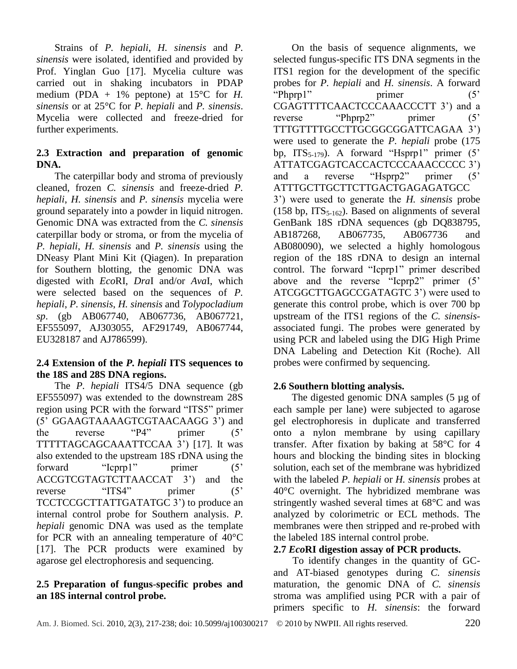Strains of *P. hepiali*, *H. sinensis* and *P. sinensis* were isolated, identified and provided by Prof. Yinglan Guo [17]. Mycelia culture was carried out in shaking incubators in PDAP medium (PDA + 1% peptone) at 15 °C for *H*. *sinensis* or at 25°C for *P. hepiali* and *P. sinensis*. Mycelia were collected and freeze-dried for further experiments.

# **2.3 Extraction and preparation of genomic DNA.**

The caterpillar body and stroma of previously cleaned, frozen *C. sinensis* and freeze-dried *P. hepiali*, *H. sinensis* and *P. sinensis* mycelia were ground separately into a powder in liquid nitrogen. Genomic DNA was extracted from the *C. sinensis* caterpillar body or stroma, or from the mycelia of *P. hepiali*, *H. sinensis* and *P. sinensis* using the DNeasy Plant Mini Kit (Qiagen). In preparation for Southern blotting, the genomic DNA was digested with *Eco*RI, *Dra*I and/or *Ava*I, which were selected based on the sequences of *P. hepiali*, *P. sinensis*, *H. sinensis* and *Tolypocladium sp*. (gb AB067740, AB067736, AB067721, EF555097, AJ303055, AF291749, AB067744, EU328187 and AJ786599).

# **2.4 Extension of the** *P. hepiali* **ITS sequences to the 18S and 28S DNA regions.**

The *P. hepiali* ITS4/5 DNA sequence (gb EF555097) was extended to the downstream 28S region using PCR with the forward "ITS5" primer (5' GGAAGTAAAAGTCGTAACAAGG 3') and the reverse  $P_4$ " primer  $(5)$ TTTTTAGCAGCAAATTCCAA 3') [17]. It was also extended to the upstream 18S rDNA using the forward "Icprp1" primer (5' ACCGTCGTAGTCTTAACCAT 3') and the reverse "ITS4" primer (5' TCCTCCGCTTATTGATATGC 3') to produce an internal control probe for Southern analysis. *P. hepiali* genomic DNA was used as the template for PCR with an annealing temperature of  $40\degree$ C [17]. The PCR products were examined by agarose gel electrophoresis and sequencing.

# **2.5 Preparation of fungus**-**specific probes and an 18S internal control probe.**

On the basis of sequence alignments, we selected fungus-specific ITS DNA segments in the ITS1 region for the development of the specific probes for *P. hepiali* and *H. sinensis*. A forward "Phprp1" primer (5' CGAGTTTTCAACTCCCAAACCCTT 3') and a reverse "Phprp2" primer (5' TTTGTTTTGCCTTGCGGCGGATTCAGAA 3') were used to generate the *P. hepiali* probe (175 bp,  $ITS_{5-179}$ ). A forward "Hsprp1" primer (5') ATTATCGAGTCACCACTCCCAAACCCCC 3') and a reverse "Hsprp2" primer (5' ATTTGCTTGCTTCTTGACTGAGAGATGCC 3') were used to generate the *H. sinensis* probe (158 bp,  $ITS_{5-162}$ ). Based on alignments of several GenBank 18S rDNA sequences (gb DQ838795, AB187268, AB067735, AB067736 and AB080090), we selected a highly homologous region of the 18S rDNA to design an internal control. The forward "Icprp1" primer described above and the reverse " $\text{Icprp2}$ " primer (5' ATCGGCTTGAGCCGATAGTC 3') were used to generate this control probe, which is over 700 bp upstream of the ITS1 regions of the *C. sinensis*associated fungi. The probes were generated by using PCR and labeled using the DIG High Prime DNA Labeling and Detection Kit (Roche). All probes were confirmed by sequencing.

# **2.6 Southern blotting analysis.**

The digested genomic DNA samples (5 µg of each sample per lane) were subjected to agarose gel electrophoresis in duplicate and transferred onto a nylon membrane by using capillary transfer. After fixation by baking at  $58 \, \text{°C}$  for 4 hours and blocking the binding sites in blocking solution, each set of the membrane was hybridized with the labeled *P. hepiali* or *H. sinensis* probes at  $40\,\mathrm{C}$  overnight. The hybridized membrane was stringently washed several times at  $68 \text{ °C}$  and was analyzed by colorimetric or ECL methods. The membranes were then stripped and re-probed with the labeled 18S internal control probe.

## **2.7** *Eco***RI digestion assay of PCR products.**

To identify changes in the quantity of GCand AT-biased genotypes during *C. sinensis* maturation, the genomic DNA of *C. sinensis* stroma was amplified using PCR with a pair of primers specific to *H. sinensis*: the forward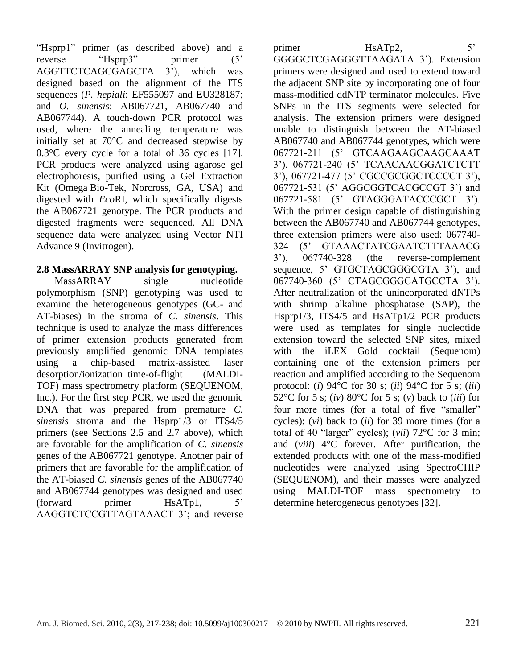(forward primer HsATp1, 5' AAGGTCTCCGTTAGTAAACT 3'; and reverse

"Hsprp1" primer (as described above) and a reverse "Hsprp3" primer (5' AGGTTCTCAGCGAGCTA 3'), which was designed based on the alignment of the ITS sequences (*P. hepiali*: EF555097 and EU328187; and *O. sinensis*: AB067721, AB067740 and AB067744). A touch-down PCR protocol was used, where the annealing temperature was initially set at  $70^{\circ}$  c and decreased stepwise by  $0.3 \, \text{C}$  every cycle for a total of 36 cycles [17]. PCR products were analyzed using agarose gel electrophoresis, purified using a Gel Extraction Kit (Omega Bio-Tek, Norcross, GA, USA) and digested with *Eco*RI, which specifically digests the AB067721 genotype. The PCR products and digested fragments were sequenced. All DNA sequence data were analyzed using Vector NTI

# **2.8 MassARRAY SNP analysis for genotyping.**

Advance 9 (Invitrogen).

MassARRAY single nucleotide polymorphism (SNP) genotyping was used to examine the heterogeneous genotypes (GC- and AT-biases) in the stroma of *C. sinensis*. This technique is used to analyze the mass differences of primer extension products generated from previously amplified genomic DNA templates using a chip-based matrix-assisted laser desorption/ionization–time-of-flight (MALDI-TOF) mass spectrometry platform (SEQUENOM, Inc.). For the first step PCR, we used the genomic DNA that was prepared from premature *C*. *sinensis* stroma and the Hsprp1/3 or ITS4/5 primers (see Sections 2.5 and 2.7 above), which are favorable for the amplification of *C. sinensis* genes of the AB067721 genotype. Another pair of primers that are favorable for the amplification of the AT-biased *C. sinensis* genes of the AB067740 and AB067744 genotypes was designed and used

primer HsATp2, 5' GGGGCTCGAGGGTTAAGATA 3'). Extension primers were designed and used to extend toward the adjacent SNP site by incorporating one of four mass-modified ddNTP terminator molecules. Five SNPs in the ITS segments were selected for

analysis. The extension primers were designed unable to distinguish between the AT-biased AB067740 and AB067744 genotypes, which were 067721-211 (5' GTCAAGAAGCAAGCAAAT 3'), 067721-240 (5' TCAACAACGGATCTCTT 3'), 067721-477 (5' CGCCGCGGCTCCCCT 3'), 067721-531 (5' AGGCGGTCACGCCGT 3') and 067721-581 (5' GTAGGGATACCCGCT 3'). With the primer design capable of distinguishing between the AB067740 and AB067744 genotypes, three extension primers were also used: 067740- 324 (5' GTAAACTATCGAATCTTTAAACG 3'), 067740-328 (the reverse-complement sequence, 5' GTGCTAGCGGGCGTA 3'), and 067740-360 (5' CTAGCGGGCATGCCTA 3'). After neutralization of the unincorporated dNTPs with shrimp alkaline phosphatase (SAP), the Hsprp1/3, ITS4/5 and HsATp1/2 PCR products were used as templates for single nucleotide extension toward the selected SNP sites, mixed with the iLEX Gold cocktail (Sequenom) containing one of the extension primers per reaction and amplified according to the Sequenom protocol: (*i*) 94 °C for 30 s; (*ii*) 94 °C for 5 s; (*iii*) 52 °C for 5 s; (*iv*) 80 °C for 5 s; (*v*) back to (*iii*) for four more times (for a total of five "smaller" cycles); (*vi*) back to (*ii*) for 39 more times (for a total of 40 "larger" cycles); (*vii*) 72  $\mathbb{C}$  for 3 min; and  $(viii)$   $4 \, \text{C}$  forever. After purification, the extended products with one of the mass-modified nucleotides were analyzed using SpectroCHIP (SEQUENOM), and their masses were analyzed using MALDI-TOF mass spectrometry to determine heterogeneous genotypes [32].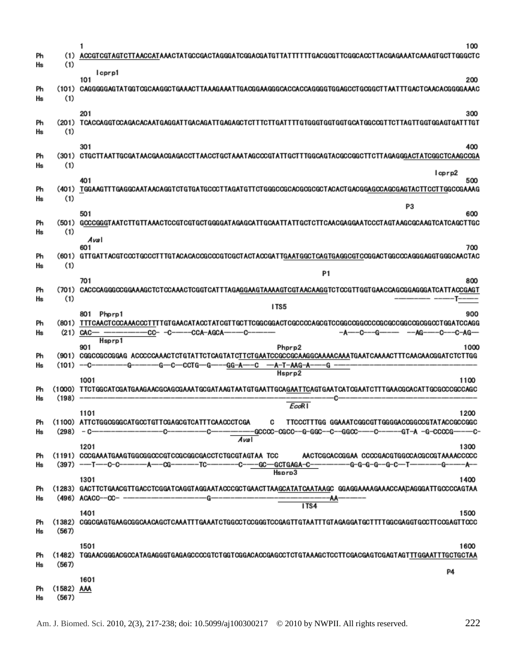| Ph<br>Нs | (1)<br>(1)            | 1<br>100<br>ACCGTCGTAGTCTAACCATAAACTATGCCGACTAGGGATCGGACGATGTTATTTTTGACGCGTTCGGCACCTTACGAGAAATCAAAGTGCTTGGGCTC                                                                                                                 |
|----------|-----------------------|--------------------------------------------------------------------------------------------------------------------------------------------------------------------------------------------------------------------------------|
| Ph<br>Ηs | (1)                   | Icprp1<br>101<br>200<br>(101) CAGGGGGAGTATADTCGCAAGGCTGAAACTTGAAAATTGACGGAAGGGCACCACCAGGGGTGGAGCCTGGGCTTAATTTGACACACGGGGAAAC                                                                                                   |
| Ph<br>Нs | (1)                   | 201<br>300                                                                                                                                                                                                                     |
| Ph<br>Ηs | (1)                   | 301<br>400<br>(301) CTGCTTAATTGCGATAACGAACGAGACCTTAACCTGCTAAATAGCCCGTATTGCTTTGGCAGTACGCCGGCTTCTTAGAGGGACTATCGGCTCAAGCCGA                                                                                                       |
| Ph<br>Ηs | (1)                   | lcprp2<br>401<br>500<br>(401) TGGAAGTTTGAGGCAATAACAGGTCTGTGATGCCCTTAGATGTTCTGGGCCGCACGCGCGTACACTGACGGAGCCAGCGAGTACTTCCTTGGCCGAAAG                                                                                              |
| Ph<br>Ηs | (1)                   | P3<br>501<br>600<br>(501) GCCCGGGTAATCTTGTTAAACTCCGTCGTGGTGGGATAGAGCATTGCAATTATTGCTCTTCAACGAGGAATCCCTAGTAAGCGCAAGTCATCAGCTTGC<br>Aval                                                                                          |
| Ph<br>Ηs | (1)                   | 700<br>601<br>(601) GTTGATTACGTCCCTGCCCTTTGTACACACCGCCCGTCGCTACTACCGATTGAATGGCTCAGTGAGGCGTCCGGACTGGCCCAGGGAGGTGGGCAACTAC                                                                                                       |
| Ph<br>Нs | (1)                   | P <sub>1</sub><br>701<br>800<br>(701) CACCCAGGGCCGGAAAGCTCTCCAAACTCGGTCATTTAGAGGAAGTAAAAGTCGTAACAAGGTCTCCGTTGGTGAACCAGCGGAGGGATCATTACCGAGT                                                                                     |
| Ph<br>Нs |                       | ITS5<br>801 Phprp1<br>900<br>(21) $CAC - - - -$<br>-C----C-AG---                                                                                                                                                               |
| Ph<br>Ηs |                       | Hsprp1<br>901<br>Phprp2<br>1000<br>(901) CGGCCGCCGCAG ACCCCCAAACTCTGTATTCTCAGTATCTTCTGAATCCGCCGCAAGGCAAAACAAATGAATCAAAACTTTCAACAACGGATCTCTTGG<br>$(101)$ --C------<br>-G---C---CCTG---G------GG--A----C ----A-T--AAG--A------G |
| Ph<br>Нs | (198)                 | Hsprp2<br>1001<br>1100                                                                                                                                                                                                         |
| Ph<br>Ηs |                       | EcoR I<br>1101<br>1200<br>(1100) ATTCTGGCGGGCATGCCTGTTCGAGCGTCATTTCAACCCTCGA<br>C TTCCCTTTGG GGAAATCGGCGTTGGGGACCGGCCGTATACCGCCGGC<br>Aval                                                                                     |
| Ph<br>Hs |                       | 1201<br>1300<br>(1191) CCCGAAATGAAGTGGCGGCCCGTCCGGCGGCGACCTCTGCGTAGTAA TCC<br>AACTCGCACCGGAA CCCCGACGTGGCCACGCCGTAAAACCCCC<br>Hsprp3                                                                                           |
| Ph<br>Ηs |                       | 1400<br>1301<br>(1283) GACTTCTGAACGTTGACCTCGGATCAGGTAGGAATACCCGCTGAACTTAAGCATATCAATAAGC GGAGGAAAAAGAAACCAACAGGGATTGCCCCAGTAA<br>(496) ACACC--CC- ---------------------G-<br>-AA-<br>ITS4                                       |
| Ph<br>Ηs | (567)                 | 1401<br>1500<br>(1382) CGGCGAGTGAAGCGGAAAAGCTCAAATTTGAAATCTGGGCTCCGGGTCCGAGTTGTAATTTGTAGAGGATGCTTTGGCGAGGTGCCTTCCGAGTTCCC                                                                                                      |
| Ph<br>Ηs | (567)                 | 1501<br>1600<br>(1482) TGGAACGGGACGCCATAGAGGGTGAGAGCCCCGTCTGGTCGACACCGAGCCTCTGTAAAGCTCCTTCGACGAGTCGAGTAGTTTGGAATTTGCTGCTAA                                                                                                     |
| Ph<br>Hs | $(1582)$ AAA<br>(567) | P4<br>1601                                                                                                                                                                                                                     |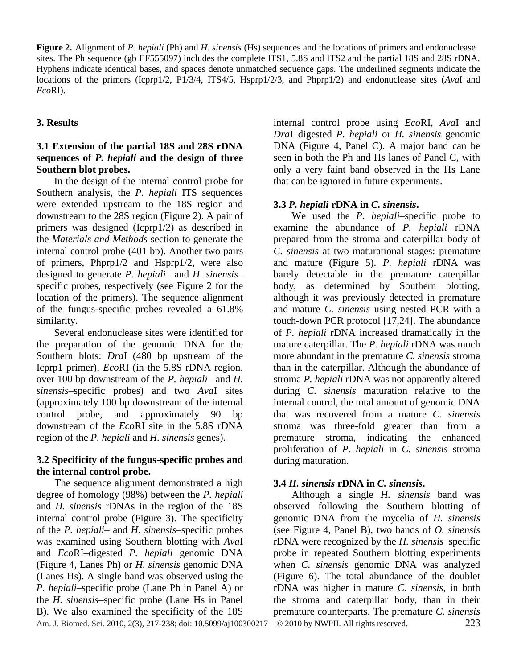**Figure 2.** Alignment of *P. hepiali* (Ph) and *H. sinensis* (Hs) sequences and the locations of primers and endonuclease sites. The Ph sequence (gb EF555097) includes the complete ITS1, 5.8S and ITS2 and the partial 18S and 28S rDNA. Hyphens indicate identical bases, and spaces denote unmatched sequence gaps. The underlined segments indicate the locations of the primers (Icprp1/2, P1/3/4, ITS4/5, Hsprp1/2/3, and Phprp1/2) and endonuclease sites (*Ava*I and *Eco*RI).

## **3. Results**

#### **3.1 Extension of the partial 18S and 28S rDNA sequences of** *P. hepiali* **and the design of three Southern blot probes.**

In the design of the internal control probe for Southern analysis, the *P. hepiali* ITS sequences were extended upstream to the 18S region and downstream to the 28S region (Figure 2). A pair of primers was designed (Icprp1/2) as described in the *Materials and Methods* section to generate the internal control probe (401 bp). Another two pairs of primers, Phprp1/2 and Hsprp1/2, were also designed to generate *P. hepiali*– and *H. sinensis*– specific probes, respectively (see Figure 2 for the location of the primers). The sequence alignment of the fungus-specific probes revealed a 61.8% similarity.

Several endonuclease sites were identified for the preparation of the genomic DNA for the Southern blots: *Dra*I (480 bp upstream of the Icprp1 primer), *Eco*RI (in the 5.8S rDNA region, over 100 bp downstream of the *P. hepiali*– and *H. sinensis*–specific probes) and two *Ava*I sites (approximately 100 bp downstream of the internal control probe, and approximately 90 bp downstream of the *Eco*RI site in the 5.8S rDNA region of the *P. hepiali* and *H. sinensis* genes).

#### **3.2 Specificity of the fungus-specific probes and the internal control probe.**

The sequence alignment demonstrated a high degree of homology (98%) between the *P. hepiali* and *H. sinensis* rDNAs in the region of the 18S internal control probe (Figure 3). The specificity of the *P. hepiali–* and *H. sinensis*–specific probes was examined using Southern blotting with *Ava*I and *Eco*RI–digested *P. hepiali* genomic DNA (Figure 4, Lanes Ph) or *H. sinensis* genomic DNA (Lanes Hs). A single band was observed using the *P. hepiali*–specific probe (Lane Ph in Panel A) or the *H. sinensis*–specific probe (Lane Hs in Panel B). We also examined the specificity of the 18S

internal control probe using *Eco*RI, *Ava*I and *Dra*I*–*digested *P. hepiali* or *H. sinensis* genomic DNA (Figure 4, Panel C). A major band can be seen in both the Ph and Hs lanes of Panel C, with only a very faint band observed in the Hs Lane that can be ignored in future experiments.

## **3.3** *P. hepiali* **rDNA in** *C. sinensis***.**

We used the *P. hepiali*–specific probe to examine the abundance of *P. hepiali* rDNA prepared from the stroma and caterpillar body of *C. sinensis* at two maturational stages: premature and mature (Figure 5). *P. hepiali* rDNA was barely detectable in the premature caterpillar body, as determined by Southern blotting, although it was previously detected in premature and mature *C. sinensis* using nested PCR with a touch-down PCR protocol [17,24]. The abundance of *P. hepiali* rDNA increased dramatically in the mature caterpillar. The *P. hepiali* rDNA was much more abundant in the premature *C. sinensis* stroma than in the caterpillar. Although the abundance of stroma *P. hepiali* rDNA was not apparently altered during *C. sinensis* maturation relative to the internal control, the total amount of genomic DNA that was recovered from a mature *C. sinensis* stroma was three-fold greater than from a premature stroma, indicating the enhanced proliferation of *P. hepiali* in *C. sinensis* stroma during maturation.

## **3.4** *H. sinensis* **rDNA in** *C. sinensis***.**

Am. J. Biomed. Sci. 2010, 2(3), 217-238; doi: 10.5099**/**aj100300217© 2010 by NWPII. All rights reserved. 223 Although a single *H. sinensis* band was observed following the Southern blotting of genomic DNA from the mycelia of *H. sinensis* (see Figure 4, Panel B), two bands of *O. sinensis* rDNA were recognized by the *H. sinensis*–specific probe in repeated Southern blotting experiments when *C. sinensis* genomic DNA was analyzed (Figure 6). The total abundance of the doublet rDNA was higher in mature *C. sinensis*, in both the stroma and caterpillar body, than in their premature counterparts. The premature *C. sinensis*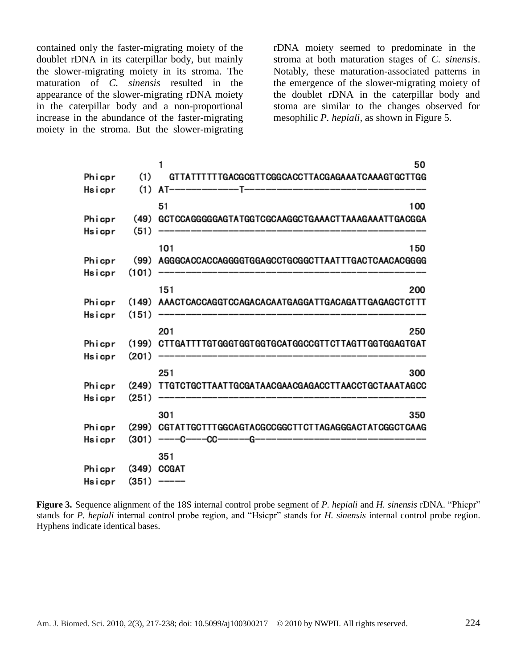contained only the faster-migrating moiety of the doublet rDNA in its caterpillar body, but mainly the slower-migrating moiety in its stroma. The maturation of *C. sinensis* resulted in the appearance of the slower-migrating rDNA moiety in the caterpillar body and a non-proportional increase in the abundance of the faster-migrating moiety in the stroma. But the slower-migrating rDNA moiety seemed to predominate in the stroma at both maturation stages of *C. sinensis*. Notably, these maturation-associated patterns in the emergence of the slower-migrating moiety of the doublet rDNA in the caterpillar body and stoma are similar to the changes observed for mesophilic *P. hepiali,* as shown in Figure 5.

|        |       | 1<br>50                                                  |
|--------|-------|----------------------------------------------------------|
| Phicpr | (1)   | GTTATTTTTTGACGCGTTCGGCACCTTACGAGAAATCAAAGTGCTTGG         |
| Hsicpr | (1)   |                                                          |
|        |       | 51<br>100                                                |
| Phicpr | (49)  | GCTCCAGGGGGAGTATGGTCGCAAGGCTGAAACTTAAAGAAATTGACGGA       |
| Hsicpr | (51)  | ----------------------------------                       |
|        |       | 101<br>150                                               |
| Phicpr |       | (99) AGGGCACCACCAGGGGTGGAGCCTGCGGCTTAATTTGACTCAACACGGGG  |
| Hsicpr | (101) | -------------------------                                |
|        |       | 151<br>200                                               |
| Phicpr |       | (149) AAACTCACCAGGTCCAGACACAATGAGGATTGACAGATTGAGAGCTCTTT |
| Hsicpr | (151) | ---------------------------                              |
|        |       | 201<br>250                                               |
| Phicpr |       | (199) CTTGATTTTGTGGGTGGTGGTGCATGGCCGTTCTTAGTTGGTGGAGTGAT |
| Hsicpr | (201) | --------------------------------                         |
|        |       | 251<br>300                                               |
| Phicpr | (249) | TTGTCTGCTTAATTGCGATAACGAACGAGACCTTAACCTGCTAAATAGCC       |
| Hsicpr | (251) | _________________________________                        |
|        |       | 301<br>350                                               |
| Phicpr | (299) | CGTATTGCTTTGGCAGTACGCCGGCTTCTTAGAGGGACTATCGGCTCAAG       |
| Hsicpr | (301) |                                                          |
|        |       | 351                                                      |
| Phicpr |       | (349) CCGAT                                              |
| Hsicpr | (351) |                                                          |
|        |       |                                                          |

Figure 3. Sequence alignment of the 18S internal control probe segment of *P. hepiali* and *H. sinensis* rDNA. "Phicpr" stands for *P. hepiali* internal control probe region, and "Hsicpr" stands for *H. sinensis* internal control probe region. Hyphens indicate identical bases.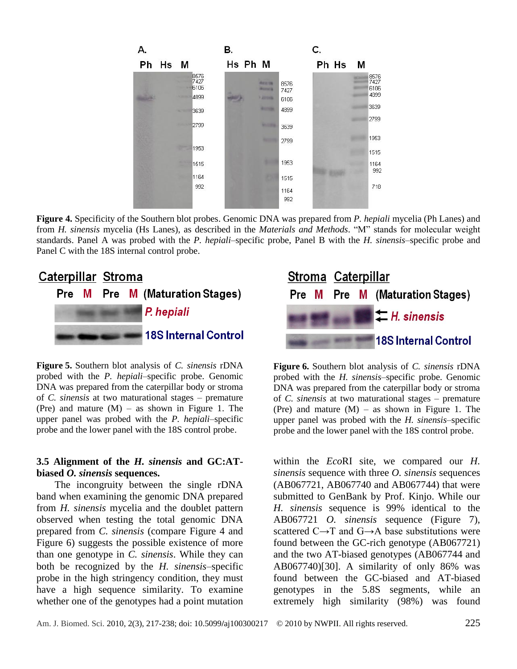|                              | В.                                                         | ς.                   |                              |
|------------------------------|------------------------------------------------------------|----------------------|------------------------------|
| Ph Hs M                      | Hs Ph M                                                    | Ph Hs M              |                              |
| 8576<br>7427<br>6106<br>4899 | <b><i><u>Right Come</u></i></b><br>--<br><b>Y Attrovin</b> | 8576<br>7427<br>6106 | 8576<br>7427<br>6106<br>4899 |
| 3639                         |                                                            | 4899                 | 3639                         |
| 2799                         |                                                            | 3639                 | 2799                         |
| 1953                         |                                                            | 2799                 | 1953<br>1515                 |
| 1515                         |                                                            | 1953                 | 1164                         |
| 1164                         |                                                            | 1515                 | 992                          |
| 992                          |                                                            | 1164<br>992          | 718                          |

**Figure 4.** Specificity of the Southern blot probes. Genomic DNA was prepared from *P. hepiali* mycelia (Ph Lanes) and from *H. sinensis* mycelia (Hs Lanes), as described in the *Materials and Methods*. "M" stands for molecular weight standards. Panel A was probed with the *P. hepiali–*specific probe, Panel B with the *H. sinensis–*specific probe and Panel C with the 18S internal control probe.



**Figure 5.** Southern blot analysis of *C. sinensis* rDNA probed with the *P. hepiali*–specific probe. Genomic DNA was prepared from the caterpillar body or stroma of *C. sinensis* at two maturational stages – premature (Pre) and mature  $(M)$  – as shown in Figure 1. The upper panel was probed with the *P. hepiali*–specific probe and the lower panel with the 18S control probe.

#### **3.5 Alignment of the** *H. sinensis* **and GC:ATbiased** *O. sinensis* **sequences.**

The incongruity between the single rDNA band when examining the genomic DNA prepared from *H. sinensis* mycelia and the doublet pattern observed when testing the total genomic DNA prepared from *C. sinensis* (compare Figure 4 and Figure 6) suggests the possible existence of more than one genotype in *C. sinensis*. While they can both be recognized by the *H. sinensis*–specific probe in the high stringency condition, they must have a high sequence similarity. To examine whether one of the genotypes had a point mutation



**Figure 6.** Southern blot analysis of *C. sinensis* rDNA probed with the *H. sinensis–*specific probe. Genomic DNA was prepared from the caterpillar body or stroma of *C. sinensis* at two maturational stages – premature (Pre) and mature  $(M)$  – as shown in Figure 1. The upper panel was probed with the *H. sinensis–*specific probe and the lower panel with the 18S control probe.

within the *Eco*RI site, we compared our *H. sinensis* sequence with three *O. sinensis* sequences (AB067721, AB067740 and AB067744) that were submitted to GenBank by Prof. Kinjo. While our *H. sinensis* sequence is 99% identical to the AB067721 *O. sinensis* sequence (Figure 7), scattered C→T and G→A base substitutions were found between the GC-rich genotype (AB067721) and the two AT-biased genotypes (AB067744 and AB067740)[30]. A similarity of only 86% was found between the GC-biased and AT-biased genotypes in the 5.8S segments, while an extremely high similarity (98%) was found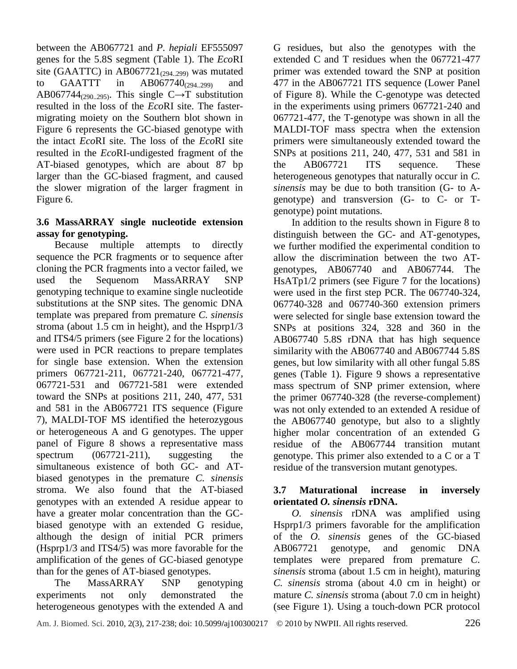between the AB067721 and *P. hepiali* EF555097 genes for the 5.8S segment (Table 1). The *Eco*RI site (GAATTC) in AB067721 $_{(294..299)}$  was mutated to GAATTT in  $AB067740_{(294..299)}$  and AB067744 $_{(290..295)}$ . This single C $\rightarrow$ T substitution resulted in the loss of the *Eco*RI site. The fastermigrating moiety on the Southern blot shown in Figure 6 represents the GC-biased genotype with the intact *Eco*RI site. The loss of the *Eco*RI site resulted in the *Eco*RI-undigested fragment of the AT-biased genotypes, which are about 87 bp larger than the GC-biased fragment, and caused the slower migration of the larger fragment in Figure 6.

## **3.6 MassARRAY single nucleotide extension assay for genotyping.**

Because multiple attempts to directly sequence the PCR fragments or to sequence after cloning the PCR fragments into a vector failed, we used the Sequenom MassARRAY SNP genotyping technique to examine single nucleotide substitutions at the SNP sites. The genomic DNA template was prepared from premature *C. sinensis* stroma (about 1.5 cm in height), and the Hsprp1/3 and ITS4/5 primers (see Figure 2 for the locations) were used in PCR reactions to prepare templates for single base extension. When the extension primers 067721-211, 067721-240, 067721-477, 067721-531 and 067721-581 were extended toward the SNPs at positions 211, 240, 477, 531 and 581 in the AB067721 ITS sequence (Figure 7), MALDI-TOF MS identified the heterozygous or heterogeneous A and G genotypes. The upper panel of Figure 8 shows a representative mass spectrum (067721-211), suggesting the simultaneous existence of both GC- and ATbiased genotypes in the premature *C. sinensis* stroma. We also found that the AT-biased genotypes with an extended A residue appear to have a greater molar concentration than the GCbiased genotype with an extended G residue, although the design of initial PCR primers (Hsprp1/3 and ITS4/5) was more favorable for the amplification of the genes of GC-biased genotype than for the genes of AT-biased genotypes.

The MassARRAY SNP genotyping experiments not only demonstrated the heterogeneous genotypes with the extended A and G residues, but also the genotypes with the extended C and T residues when the 067721-477 primer was extended toward the SNP at position 477 in the AB067721 ITS sequence (Lower Panel of Figure 8). While the C-genotype was detected in the experiments using primers 067721-240 and 067721-477, the T-genotype was shown in all the MALDI-TOF mass spectra when the extension primers were simultaneously extended toward the SNPs at positions 211, 240, 477, 531 and 581 in the AB067721 ITS sequence. These heterogeneous genotypes that naturally occur in *C. sinensis* may be due to both transition (G- to Agenotype) and transversion (G- to C- or Tgenotype) point mutations.

In addition to the results shown in Figure 8 to distinguish between the GC- and AT-genotypes, we further modified the experimental condition to allow the discrimination between the two ATgenotypes, AB067740 and AB067744. The HsATp1/2 primers (see Figure 7 for the locations) were used in the first step PCR. The 067740-324, 067740-328 and 067740-360 extension primers were selected for single base extension toward the SNPs at positions 324, 328 and 360 in the AB067740 5.8S rDNA that has high sequence similarity with the AB067740 and AB067744 5.8S genes, but low similarity with all other fungal 5.8S genes (Table 1). Figure 9 shows a representative mass spectrum of SNP primer extension, where the primer 067740-328 (the reverse-complement) was not only extended to an extended A residue of the AB067740 genotype, but also to a slightly higher molar concentration of an extended G residue of the AB067744 transition mutant genotype. This primer also extended to a C or a T residue of the transversion mutant genotypes.

## **3.7 Maturational increase in inversely orientated** *O. sinensis* **rDNA.**

*O. sinensis* rDNA was amplified using Hsprp1/3 primers favorable for the amplification of the *O. sinensis* genes of the GC-biased AB067721 genotype, and genomic DNA templates were prepared from premature *C. sinensis* stroma (about 1.5 cm in height), maturing *C. sinensis* stroma (about 4.0 cm in height) or mature *C. sinensis* stroma (about 7.0 cm in height) (see Figure 1). Using a touch-down PCR protocol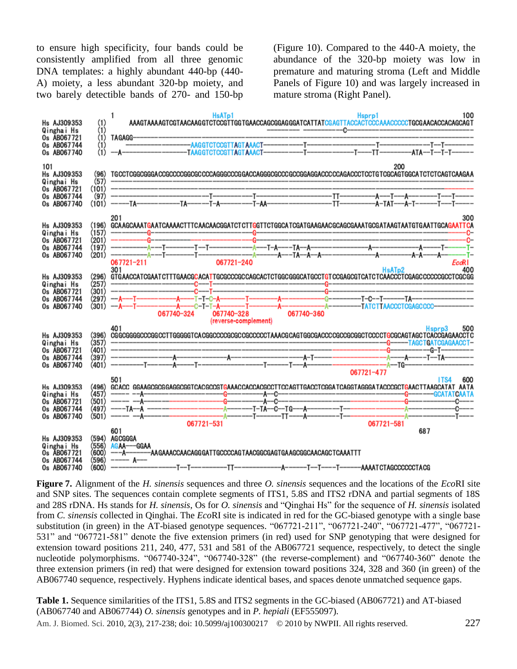to ensure high specificity, four bands could be consistently amplified from all three genomic DNA templates: a highly abundant 440-bp (440- A) moiety, a less abundant 320-bp moiety, and two barely detectible bands of 270- and 150-bp (Figure 10). Compared to the 440-A moiety, the abundance of the 320-bp moiety was low in premature and maturing stroma (Left and Middle Panels of Figure 10) and was largely increased in mature stroma (Right Panel).



**Figure 7.** Alignment of the *H. sinensis* sequences and three *O. sinensis* sequences and the locations of the *Eco*RI site and SNP sites. The sequences contain complete segments of ITS1, 5.8S and ITS2 rDNA and partial segments of 18S and 28S rDNA. Hs stands for *H. sinensis*, Os for *O. sinensis* and "Qinghai Hs" for the sequence of *H. sinensis* isolated from *C. sinensis* collected in Qinghai. The *Eco*RI site is indicated in red for the GC-biased genotype with a single base substitution (in green) in the AT-biased genotype sequences. "067721-211", "067721-240", "067721-477", "067721-531" and "067721-581" denote the five extension primers (in red) used for SNP genotyping that were designed for extension toward positions 211, 240, 477, 531 and 581 of the AB067721 sequence, respectively, to detect the single nucleotide polymorphisms. "067740-324", "067740-328" (the reverse-complement) and "067740-360" denote the three extension primers (in red) that were designed for extension toward positions 324, 328 and 360 (in green) of the AB067740 sequence, respectively. Hyphens indicate identical bases, and spaces denote unmatched sequence gaps.

**Table 1.** Sequence similarities of the ITS1, 5.8S and ITS2 segments in the GC-biased (AB067721) and AT-biased (AB067740 and AB067744) *O. sinensis* genotypes and in *P. hepiali* (EF555097).

Am. J. Biomed. Sci. 2010, 2(3), 217-238; doi: 10.5099**/**aj100300217© 2010 by NWPII. All rights reserved. 227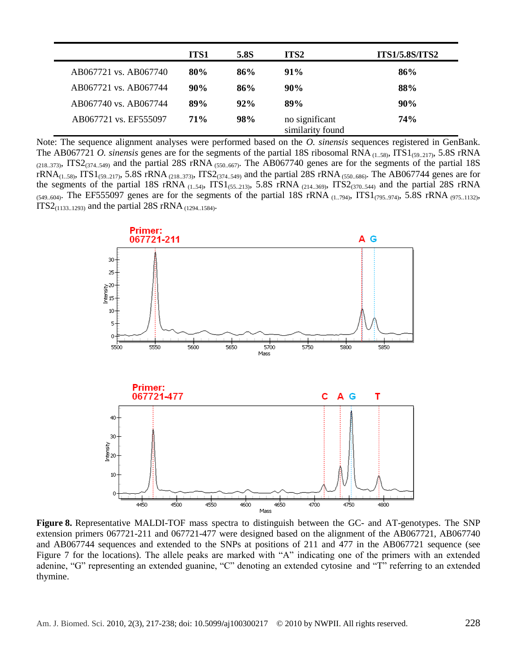|                       | ITS1 | 5.8S   | ITS2                               | <b>ITS1/5.8S/ITS2</b> |
|-----------------------|------|--------|------------------------------------|-----------------------|
| AB067721 vs. AB067740 | 80%  | 86%    | $91\%$                             | 86%                   |
| AB067721 vs. AB067744 | 90%  | 86%    | 90%                                | 88%                   |
| AB067740 vs. AB067744 | 89%  | $92\%$ | 89%                                | 90%                   |
| AB067721 vs. EF555097 | 71%  | 98%    | no significant<br>similarity found | 74%                   |

Note: The sequence alignment analyses were performed based on the *O. sinensis* sequences registered in GenBank. The AB067721 *O. sinensis* genes are for the segments of the partial 18S ribosomal RNA (1..58), ITS1(59..217), 5.8S rRNA  $(218.373)$ , ITS2 $(374.549)$  and the partial 28S rRNA  $(550.667)$ . The AB067740 genes are for the segments of the partial 18S  $rRNA_{(1..58)}$ , ITS1(59..217), 5.8S rRNA (218..373), ITS2(374..549) and the partial 28S rRNA (550..686). The AB067744 genes are for the segments of the partial 18S rRNA  $_{(1..54)}$ , ITS1 $_{(55..213)}$ , 5.8S rRNA  $_{(214..369)}$ , ITS2 $_{(370..544)}$  and the partial 28S rRNA  $(549..604)$ . The EF555097 genes are for the segments of the partial 18S rRNA  $(1..794)$ , ITS1 $(795..974)$ , 5.8S rRNA  $(975..1132)$ ,  $ITS2_{(1133..1293)}$  and the partial 28S rRNA  $_{(1294..1584)}$ .



**Figure 8.** Representative MALDI-TOF mass spectra to distinguish between the GC- and AT-genotypes. The SNP extension primers 067721-211 and 067721-477 were designed based on the alignment of the AB067721, AB067740 and AB067744 sequences and extended to the SNPs at positions of 211 and 477 in the AB067721 sequence (see Figure 7 for the locations). The allele peaks are marked with "A" indicating one of the primers with an extended adenine, "G" representing an extended guanine, "C" denoting an extended cytosine and "T" referring to an extended thymine.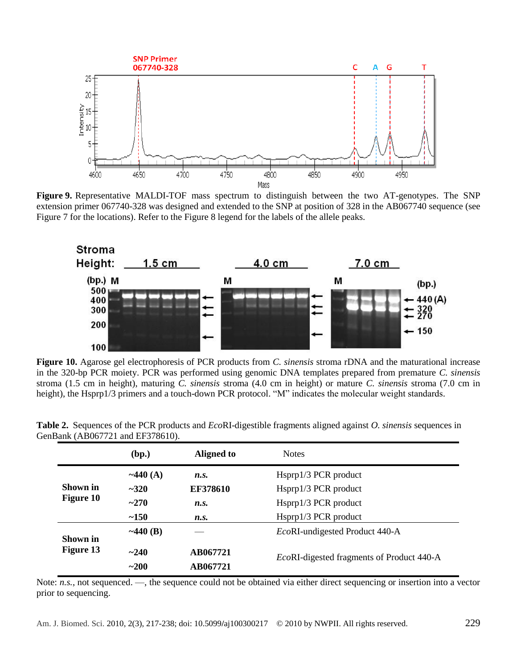

**Figure 9.** Representative MALDI-TOF mass spectrum to distinguish between the two AT-genotypes. The SNP extension primer 067740-328 was designed and extended to the SNP at position of 328 in the AB067740 sequence (see Figure 7 for the locations). Refer to the Figure 8 legend for the labels of the allele peaks.



**Figure 10.** Agarose gel electrophoresis of PCR products from *C. sinensis* stroma rDNA and the maturational increase in the 320-bp PCR moiety. PCR was performed using genomic DNA templates prepared from premature *C. sinensis* stroma (1.5 cm in height), maturing *C. sinensis* stroma (4.0 cm in height) or mature *C. sinensis* stroma (7.0 cm in height), the Hsprp1/3 primers and a touch-down PCR protocol. "M" indicates the molecular weight standards.

|                  | (bp.)          | Aligned to | <b>Notes</b>                                      |
|------------------|----------------|------------|---------------------------------------------------|
|                  | $\sim$ 440 (A) | n.s.       | Hsprp1/3 PCR product                              |
| Shown in         | $-320$         | EF378610   | Hsprp1/3 PCR product                              |
| <b>Figure 10</b> | $-270$         | n.s.       | Hsprp1/3 PCR product                              |
|                  | ~150           | n.s.       | Hsprp1/3 PCR product                              |
| Shown in         | $~1440$ (B)    |            | EcoRI-undigested Product 440-A                    |
| Figure 13        | ~240           | AB067721   | <i>EcoRI</i> -digested fragments of Product 440-A |
|                  | $~1 - 200$     | AB067721   |                                                   |

**Table 2.** Sequences of the PCR products and *Eco*RI-digestible fragments aligned against *O. sinensis* sequences in GenBank (AB067721 and EF378610).

Note: *n.s.*, not sequenced. —, the sequence could not be obtained via either direct sequencing or insertion into a vector prior to sequencing.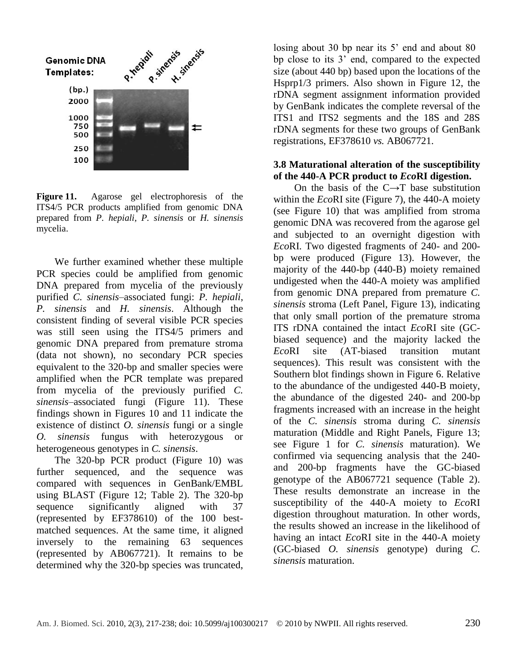

**Figure 11.** Agarose gel electrophoresis of the ITS4/5 PCR products amplified from genomic DNA prepared from *P. hepiali*, *P. sinensis* or *H. sinensis* mycelia.

We further examined whether these multiple PCR species could be amplified from genomic DNA prepared from mycelia of the previously purified *C. sinensis*–associated fungi: *P. hepiali*, *P. sinensis* and *H. sinensis*. Although the consistent finding of several visible PCR species was still seen using the ITS4/5 primers and genomic DNA prepared from premature stroma (data not shown), no secondary PCR species equivalent to the 320-bp and smaller species were amplified when the PCR template was prepared from mycelia of the previously purified *C. sinensis*–associated fungi (Figure 11). These findings shown in Figures 10 and 11 indicate the existence of distinct *O. sinensis* fungi or a single *O. sinensis* fungus with heterozygous or heterogeneous genotypes in *C. sinensis*.

The 320-bp PCR product (Figure 10) was further sequenced, and the sequence was compared with sequences in GenBank/EMBL using BLAST (Figure 12; Table 2). The 320-bp sequence significantly aligned with 37 (represented by EF378610) of the 100 bestmatched sequences. At the same time, it aligned inversely to the remaining 63 sequences (represented by AB067721). It remains to be determined why the 320-bp species was truncated,

losing about 30 bp near its 5<sup>'</sup> end and about 80 bp close to its 3' end, compared to the expected size (about 440 bp) based upon the locations of the Hsprp1/3 primers. Also shown in Figure 12, the rDNA segment assignment information provided by GenBank indicates the complete reversal of the ITS1 and ITS2 segments and the 18S and 28S rDNA segments for these two groups of GenBank registrations, EF378610 *vs.* AB067721.

#### **3.8 Maturational alteration of the susceptibility of the 440-A PCR product to** *Eco***RI digestion.**

On the basis of the  $C \rightarrow T$  base substitution within the *Eco*RI site (Figure 7), the 440-A moiety (see Figure 10) that was amplified from stroma genomic DNA was recovered from the agarose gel and subjected to an overnight digestion with *Eco*RI. Two digested fragments of 240- and 200 bp were produced (Figure 13). However, the majority of the 440-bp (440-B) moiety remained undigested when the 440-A moiety was amplified from genomic DNA prepared from premature *C. sinensis* stroma (Left Panel, Figure 13), indicating that only small portion of the premature stroma ITS rDNA contained the intact *Eco*RI site (GCbiased sequence) and the majority lacked the *Eco*RI site (AT-biased transition mutant sequences). This result was consistent with the Southern blot findings shown in Figure 6. Relative to the abundance of the undigested 440-B moiety, the abundance of the digested 240- and 200-bp fragments increased with an increase in the height of the *C. sinensis* stroma during *C. sinensis* maturation (Middle and Right Panels, Figure 13; see Figure 1 for *C. sinensis* maturation). We confirmed via sequencing analysis that the 240 and 200-bp fragments have the GC-biased genotype of the AB067721 sequence (Table 2). These results demonstrate an increase in the susceptibility of the 440-A moiety to *Eco*RI digestion throughout maturation. In other words, the results showed an increase in the likelihood of having an intact *Eco*RI site in the 440-A moiety (GC-biased *O. sinensis* genotype) during *C. sinensis* maturation.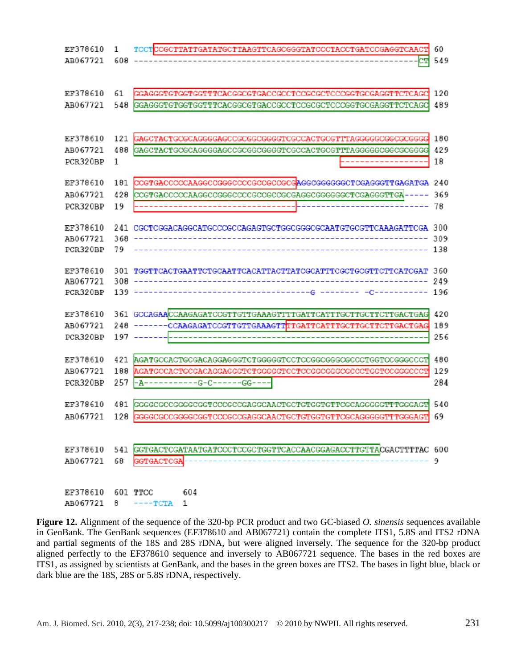| EF378610 | 1         | TCCTCCGCTTATTGATATGCTTAAGTTCAGCGGGTATCCCTACCTGATCCGAGGTCAACT                  | 60         |
|----------|-----------|-------------------------------------------------------------------------------|------------|
| AB067721 | 608       |                                                                               | 549        |
|          |           |                                                                               |            |
|          |           |                                                                               |            |
| EF378610 | 61        | GGAGGGTGTGGTGGTTTCACGGCGTGACCGCCTCCGCGCTCCCGGTGCGAGGTTCTCAGC                  | 120        |
| AB067721 | 548       | GGAGGGTGTGGTGTTTCACGGCGTGACCGCCTCCGCGCTCCCGGTGCGAGGTTCTCAGC                   | 489        |
|          |           |                                                                               |            |
| EF378610 | 121       | GAGCTACTGCGCAGGGGAGCCGCGGCGGGGTCGCCACTGCGTTTAGGGGGCGGCGCGGGG                  | 180        |
| AB067721 | 488       | GAGCTACTGCGCAGGGGAGCCGCGGGGGGTCGCCACTGCGTTTAGGGGCGGCGCGGGGG                   | 429        |
| PCR320BP | 1         |                                                                               | 18         |
|          |           |                                                                               |            |
| EF378610 | 181       |                                                                               |            |
| AB067721 | 428       | CCGTGACCCCCAAGGCCGGGCCCCGCCGCCGGAGGCGGGGGCTCGAGGGTTGA -                       | 369        |
| PCR320BP | 19        |                                                                               | 78         |
|          |           |                                                                               |            |
| EF378610 | 241       | CGCTCGGACAGGCATGCCCGCCAGAGTGCTGGCGGGCGCAATGTGCGTTCAAAGATTCGA 300              |            |
| AB067721 | 368<br>79 |                                                                               | 309<br>138 |
| PCR320BP |           |                                                                               |            |
| EF378610 | 301       | TGGTTCACTGAATTCTGCAATTCACATTACTTATCGCATTTCGCTGCGTTCTTCATCGAT                  | 360        |
| AB067721 | 308       |                                                                               | 249        |
| PCR320BP | 139       | ----------------------------G -                                               | 196        |
|          |           |                                                                               |            |
| EF378610 |           |                                                                               | 420        |
| AB067721 | 248       |                                                                               | 189        |
| PCR320BP | 197       |                                                                               | 256        |
| EF378610 | 421       |                                                                               | 480        |
| AB067721 | 188       | AGATGCCACTGCGACAGGAGGGTCTGGGGGTCCTCCGGCGGCGCCCCTGGTCCGGGCCCT                  | 129        |
| PCR320BP | 257       | -A-----------G-C------GG---                                                   | 284        |
|          |           |                                                                               |            |
| EF378610 | 481       | GGGGCCCCGGGCCGCTCCCCCCCAGGCAACTGCTGTGCTGTTCGCAGGGGGTTTGGGAGT                  | 540        |
| AB067721 | 128       | GGGGCGCCGGGGCGGTCCCGCCGAGGCAACTGCTGTGGTGTTCGCAGGGGGTTTGGGAGT                  | 69         |
|          |           |                                                                               |            |
|          |           | EF378610 541 GGTGACTCGATAATGATCCCTCCGCTGGTTCACCAACGGAGACCTTGTTACGACTTTTAC 600 |            |
|          |           | AB067721 68 GGTGACTCGA                                                        | 9          |
|          |           |                                                                               |            |
|          |           |                                                                               |            |
|          |           | EF378610 601 TTCC 604                                                         |            |
|          |           | AB067721 8 ----TCTA 1                                                         |            |

**Figure 12.** Alignment of the sequence of the 320-bp PCR product and two GC-biased *O. sinensis* sequences available in GenBank. The GenBank sequences (EF378610 and AB067721) contain the complete ITS1, 5.8S and ITS2 rDNA and partial segments of the 18S and 28S rDNA, but were aligned inversely. The sequence for the 320-bp product aligned perfectly to the EF378610 sequence and inversely to AB067721 sequence. The bases in the red boxes are ITS1, as assigned by scientists at GenBank, and the bases in the green boxes are ITS2. The bases in light blue, black or dark blue are the 18S, 28S or 5.8S rDNA, respectively.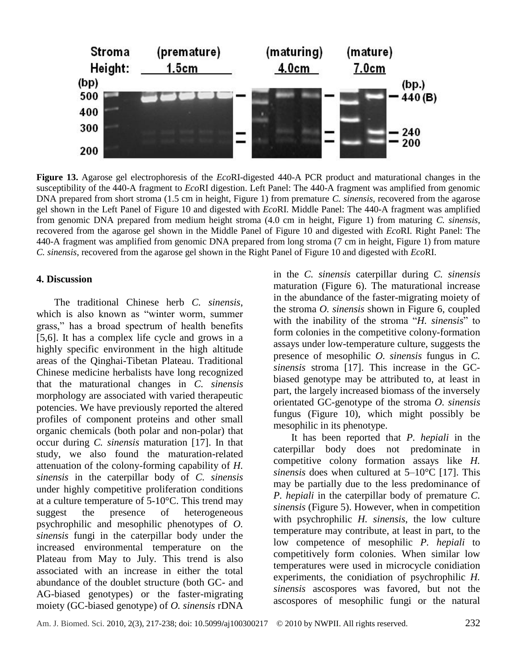

**Figure 13.** Agarose gel electrophoresis of the *Eco*RI-digested 440-A PCR product and maturational changes in the susceptibility of the 440-A fragment to *Eco*RI digestion. Left Panel: The 440-A fragment was amplified from genomic DNA prepared from short stroma (1.5 cm in height, Figure 1) from premature *C. sinensis*, recovered from the agarose gel shown in the Left Panel of Figure 10 and digested with *Eco*RI. Middle Panel: The 440-A fragment was amplified from genomic DNA prepared from medium height stroma (4.0 cm in height, Figure 1) from maturing *C. sinensis*, recovered from the agarose gel shown in the Middle Panel of Figure 10 and digested with *Eco*RI. Right Panel: The 440-A fragment was amplified from genomic DNA prepared from long stroma (7 cm in height, Figure 1) from mature *C. sinensis*, recovered from the agarose gel shown in the Right Panel of Figure 10 and digested with *Eco*RI.

#### **4. Discussion**

The traditional Chinese herb *C. sinensis*, which is also known as "winter worm, summer grass,‖ has a broad spectrum of health benefits [5,6]. It has a complex life cycle and grows in a highly specific environment in the high altitude areas of the Qinghai-Tibetan Plateau. Traditional Chinese medicine herbalists have long recognized that the maturational changes in *C. sinensis* morphology are associated with varied therapeutic potencies. We have previously reported the altered profiles of component proteins and other small organic chemicals (both polar and non-polar) that occur during *C. sinensis* maturation [17]. In that study, we also found the maturation-related attenuation of the colony-forming capability of *H. sinensis* in the caterpillar body of *C. sinensis* under highly competitive proliferation conditions at a culture temperature of  $5{\text -}10$  °C. This trend may suggest the presence of heterogeneous psychrophilic and mesophilic phenotypes of *O. sinensis* fungi in the caterpillar body under the increased environmental temperature on the Plateau from May to July. This trend is also associated with an increase in either the total abundance of the doublet structure (both GC- and AG-biased genotypes) or the faster-migrating moiety (GC-biased genotype) of *O. sinensis* rDNA

in the *C. sinensis* caterpillar during *C. sinensis* maturation (Figure 6). The maturational increase in the abundance of the faster-migrating moiety of the stroma *O. sinensis* shown in Figure 6, coupled with the inability of the stroma "*H. sinensis*" to form colonies in the competitive colony-formation assays under low-temperature culture, suggests the presence of mesophilic *O. sinensis* fungus in *C. sinensis* stroma [17]. This increase in the GCbiased genotype may be attributed to, at least in part, the largely increased biomass of the inversely orientated GC-genotype of the stroma *O. sinensis* fungus (Figure 10), which might possibly be mesophilic in its phenotype.

It has been reported that *P. hepiali* in the caterpillar body does not predominate in competitive colony formation assays like *H. sinensis* does when cultured at  $5-10 \text{ C}$  [17]. This may be partially due to the less predominance of *P. hepiali* in the caterpillar body of premature *C. sinensis* (Figure 5). However, when in competition with psychrophilic *H. sinensis*, the low culture temperature may contribute, at least in part, to the low competence of mesophilic *P. hepiali* to competitively form colonies. When similar low temperatures were used in microcycle conidiation experiments, the conidiation of psychrophilic *H. sinensis* ascospores was favored, but not the ascospores of mesophilic fungi or the natural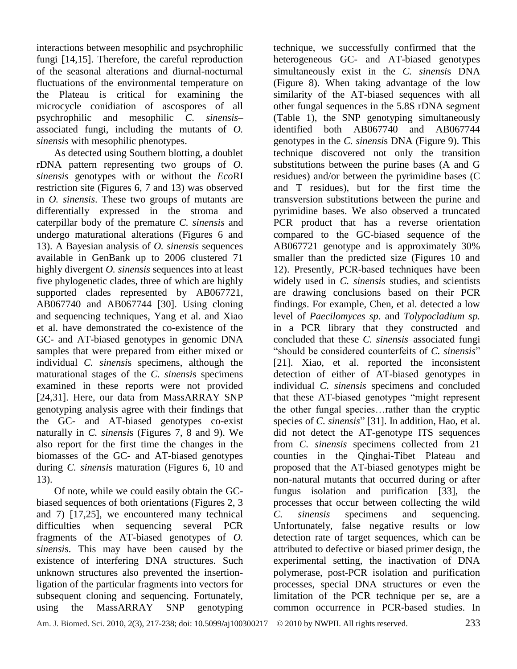interactions between mesophilic and psychrophilic fungi [14,15]. Therefore, the careful reproduction of the seasonal alterations and diurnal-nocturnal fluctuations of the environmental temperature on the Plateau is critical for examining the microcycle conidiation of ascospores of all psychrophilic and mesophilic *C. sinensis*– associated fungi, including the mutants of *O. sinensis* with mesophilic phenotypes.

As detected using Southern blotting, a doublet rDNA pattern representing two groups of *O. sinensis* genotypes with or without the *Eco*RI restriction site (Figures 6, 7 and 13) was observed in *O. sinensis*. These two groups of mutants are differentially expressed in the stroma and caterpillar body of the premature *C. sinensis* and undergo maturational alterations (Figures 6 and 13). A Bayesian analysis of *O. sinensis* sequences available in GenBank up to 2006 clustered 71 highly divergent *O. sinensis* sequences into at least five phylogenetic clades, three of which are highly supported clades represented by AB067721, AB067740 and AB067744 [30]. Using cloning and sequencing techniques, Yang et al. and Xiao et al. have demonstrated the co-existence of the GC- and AT-biased genotypes in genomic DNA samples that were prepared from either mixed or individual *C. sinensi*s specimens, although the maturational stages of the *C. sinensi*s specimens examined in these reports were not provided [24,31]. Here, our data from MassARRAY SNP genotyping analysis agree with their findings that the GC- and AT-biased genotypes co-exist naturally in *C. sinensi*s (Figures 7, 8 and 9). We also report for the first time the changes in the biomasses of the GC- and AT-biased genotypes during *C. sinensi*s maturation (Figures 6, 10 and 13).

Of note, while we could easily obtain the GCbiased sequences of both orientations (Figures 2, 3 and 7) [17,25], we encountered many technical difficulties when sequencing several PCR fragments of the AT-biased genotypes of *O. sinensi*s. This may have been caused by the existence of interfering DNA structures. Such unknown structures also prevented the insertionligation of the particular fragments into vectors for subsequent cloning and sequencing. Fortunately, using the MassARRAY SNP genotyping

technique, we successfully confirmed that the heterogeneous GC- and AT-biased genotypes simultaneously exist in the *C. sinensi*s DNA (Figure 8). When taking advantage of the low similarity of the AT-biased sequences with all other fungal sequences in the 5.8S rDNA segment (Table 1), the SNP genotyping simultaneously identified both AB067740 and AB067744 genotypes in the *C. sinensi*s DNA (Figure 9). This technique discovered not only the transition substitutions between the purine bases (A and G residues) and/or between the pyrimidine bases (C and T residues), but for the first time the [transversion](http://en.wikipedia.org/wiki/Transversion) substitutions between the purine and pyrimidine bases. We also observed a truncated PCR product that has a reverse orientation compared to the GC-biased sequence of the AB067721 genotype and is approximately 30% smaller than the predicted size (Figures 10 and 12). Presently, PCR-based techniques have been widely used in *C. sinensis* studies, and scientists are drawing conclusions based on their PCR findings. For example, Chen, et al. detected a low level of *Paecilomyces sp.* and *Tolypocladium sp.* in a PCR library that they constructed and concluded that these *C. sinensis*–associated fungi "should be considered counterfeits of *C. sinensis*" [21]. Xiao, et al. reported the inconsistent detection of either of AT-biased genotypes in individual *C. sinensis* specimens and concluded that these AT-biased genotypes "might represent" the other fungal species…rather than the cryptic species of *C. sinensis*" [31]. In addition, Hao, et al. did not detect the AT-genotype ITS sequences from *C. sinensis* specimens collected from 21 counties in the Qinghai-Tibet Plateau and proposed that the AT-biased genotypes might be non-natural mutants that occurred during or after fungus isolation and purification [33], the processes that occur between collecting the wild *C. sinensis* specimens and sequencing. Unfortunately, false negative results or low detection rate of target sequences, which can be attributed to defective or biased primer design, the experimental setting, the inactivation of DNA polymerase, post-PCR isolation and purification processes, special DNA structures or even the limitation of the PCR technique per se, are a common occurrence in PCR-based studies. In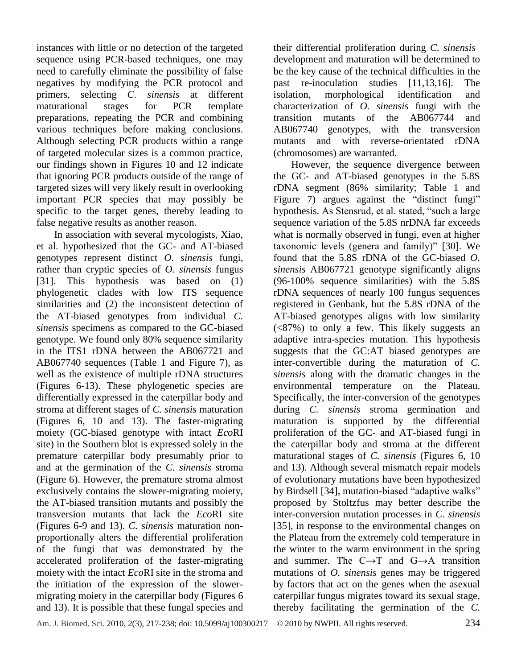instances with little or no detection of the targeted sequence using PCR-based techniques, one may need to carefully eliminate the possibility of false negatives by modifying the PCR protocol and primers, selecting *C. sinensis* at different maturational stages for PCR template preparations, repeating the PCR and combining various techniques before making conclusions. Although selecting PCR products within a range of targeted molecular sizes is a common practice, our findings shown in Figures 10 and 12 indicate that ignoring PCR products outside of the range of targeted sizes will very likely result in overlooking important PCR species that may possibly be specific to the target genes, thereby leading to false negative results as another reason.

In association with several mycologists, Xiao, et al. hypothesized that the GC- and AT-biased genotypes represent distinct *O. sinensis* fungi, rather than cryptic species of *O. sinensis* fungus [31]. This hypothesis was based on (1) phylogenetic clades with low ITS sequence similarities and (2) the inconsistent detection of the AT-biased genotypes from individual *C. sinensis* specimens as compared to the GC-biased genotype. We found only 80% sequence similarity in the ITS1 rDNA between the AB067721 and AB067740 sequences (Table 1 and Figure 7), as well as the existence of multiple rDNA structures (Figures 6-13). These phylogenetic species are differentially expressed in the caterpillar body and stroma at different stages of *C. sinensis* maturation (Figures 6, 10 and 13). The faster-migrating moiety (GC-biased genotype with intact *Eco*RI site) in the Southern blot is expressed solely in the premature caterpillar body presumably prior to and at the germination of the *C. sinensis* stroma (Figure 6). However, the premature stroma almost exclusively contains the slower-migrating moiety, the AT-biased transition mutants and possibly the transversion mutants that lack the *Eco*RI site (Figures 6-9 and 13). *C. sinensis* maturation nonproportionally alters the differential proliferation of the fungi that was demonstrated by the accelerated proliferation of the faster-migrating moiety with the intact *Eco*RI site in the stroma and the initiation of the expression of the slowermigrating moiety in the caterpillar body (Figures 6 and 13). It is possible that these fungal species and

their differential proliferation during *C. sinensis* development and maturation will be determined to be the key cause of the technical difficulties in the past re-inoculation studies [11,13,16]. The isolation, morphological identification and characterization of *O. sinensis* fungi with the transition mutants of the AB067744 and AB067740 genotypes, with the transversion mutants and with reverse-orientated rDNA (chromosomes) are warranted.

However, the sequence divergence between the GC- and AT-biased genotypes in the 5.8S rDNA segment (86% similarity; Table 1 and Figure 7) argues against the "distinct fungi" hypothesis. As Stensrud, et al. stated, "such a large sequence variation of the 5.8S nrDNA far exceeds what is normally observed in fungi, even at higher taxonomic levels (genera and family)" [30]. We found that the 5.8S rDNA of the GC-biased *O. sinensis* AB067721 genotype significantly aligns (96-100% sequence similarities) with the 5.8S rDNA sequences of nearly 100 fungus sequences registered in Genbank, but the 5.8S rDNA of the AT-biased genotypes aligns with low similarity (<87%) to only a few. This likely suggests an adaptive intra-species mutation. This hypothesis suggests that the GC:AT biased genotypes are inter-convertible during the maturation of *C. sinensis* along with the dramatic changes in the environmental temperature on the Plateau. Specifically, the inter-conversion of the genotypes during *C. sinensis* stroma germination and maturation is supported by the differential proliferation of the GC- and AT-biased fungi in the caterpillar body and stroma at the different maturational stages of *C. sinensis* (Figures 6, 10 and 13). Although several mismatch repair models of evolutionary mutations have been hypothesized by Birdsell [34], mutation-biased "adaptive walks" proposed by Stoltzfus may better describe the inter-conversion mutation processes in *C. sinensis* [35], in response to the environmental changes on the Plateau from the extremely cold temperature in the winter to the warm environment in the spring and summer. The  $C \rightarrow T$  and  $G \rightarrow A$  transition mutations of *O. sinensis* genes may be triggered by factors that act on the genes when the asexual caterpillar fungus migrates toward its sexual stage, thereby facilitating the germination of the *C.*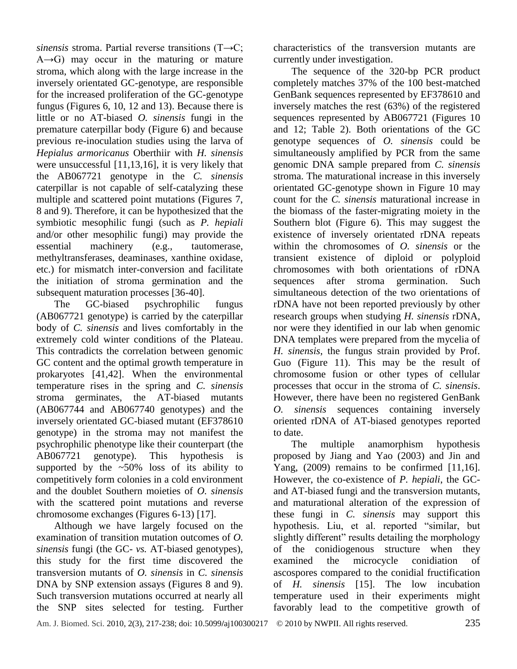*sinensis* stroma. Partial reverse transitions (T→C;  $A \rightarrow G$ ) may occur in the maturing or mature stroma, which along with the large increase in the inversely orientated GC-genotype, are responsible for the increased proliferation of the GC-genotype fungus (Figures 6, 10, 12 and 13). Because there is little or no AT-biased *O. sinensis* fungi in the premature caterpillar body (Figure 6) and because previous re-inoculation studies using the larva of *Hepialus armoricanus* Oberthiir with *H. sinensis* were unsuccessful [11,13,16], it is very likely that the AB067721 genotype in the *C. sinensis* caterpillar is not capable of self-catalyzing these multiple and scattered point mutations (Figures 7, 8 and 9). Therefore, it can be hypothesized that the symbiotic mesophilic fungi (such as *P. hepiali* and/or other mesophilic fungi) may provide the essential machinery (e.g., tautomerase, methyltransferases, deaminases, xanthine oxidase, etc.) for mismatch inter-conversion and facilitate the initiation of stroma germination and the subsequent maturation processes [36-40].

The GC-biased psychrophilic fungus (AB067721 genotype) is carried by the caterpillar body of *C. sinensis* and lives comfortably in the extremely cold winter conditions of the Plateau. This contradicts the correlation between genomic GC content and the optimal growth temperature in prokaryotes [41,42]. When the environmental temperature rises in the spring and *C. sinensis* stroma germinates, the AT-biased mutants (AB067744 and AB067740 genotypes) and the inversely orientated GC-biased mutant (EF378610 genotype) in the stroma may not manifest the psychrophilic phenotype like their counterpart (the AB067721 genotype). This hypothesis is supported by the  $\sim 50\%$  loss of its ability to competitively form colonies in a cold environment and the doublet Southern moieties of *O. sinensis* with the scattered point mutations and reverse chromosome exchanges (Figures 6-13) [17].

Although we have largely focused on the examination of transition mutation outcomes of *O. sinensis* fungi (the GC- *vs.* AT-biased genotypes), this study for the first time discovered the transversion mutants of *O. sinensis* in *C. sinensis* DNA by SNP extension assays (Figures 8 and 9). Such transversion mutations occurred at nearly all the SNP sites selected for testing. Further

characteristics of the transversion mutants are currently under investigation.

The sequence of the 320-bp PCR product completely matches 37% of the 100 best-matched GenBank sequences represented by EF378610 and inversely matches the rest (63%) of the registered sequences represented by AB067721 (Figures 10 and 12; Table 2). Both orientations of the GC genotype sequences of *O. sinensis* could be simultaneously amplified by PCR from the same genomic DNA sample prepared from *C. sinensis* stroma. The maturational increase in this inversely orientated GC-genotype shown in Figure 10 may count for the *C. sinensis* maturational increase in the biomass of the faster-migrating moiety in the Southern blot (Figure 6). This may suggest the existence of inversely orientated rDNA repeats within the chromosomes of *O. sinensis* or the transient existence of diploid or polyploid chromosomes with both orientations of rDNA sequences after stroma germination. Such simultaneous detection of the two orientations of rDNA have not been reported previously by other research groups when studying *H. sinensis* rDNA, nor were they identified in our lab when genomic DNA templates were prepared from the mycelia of *H. sinensis*, the fungus strain provided by Prof. Guo (Figure 11). This may be the result of chromosome fusion or other types of cellular processes that occur in the stroma of *C. sinensis*. However, there have been no registered GenBank *O. sinensis* sequences containing inversely oriented rDNA of AT-biased genotypes reported to date.

The multiple anamorphism hypothesis proposed by Jiang and Yao (2003) and Jin and Yang, (2009) remains to be confirmed [11,16]. However, the co-existence of *P. hepiali*, the GCand AT-biased fungi and the transversion mutants, and maturational alteration of the expression of these fungi in *C. sinensis* may support this hypothesis. Liu, et al. reported "similar, but slightly different" results detailing the morphology of the conidiogenous structure when they examined the microcycle conidiation of ascospores compared to the conidial fructification of *H. sinensis* [15]. The low incubation temperature used in their experiments might favorably lead to the competitive growth of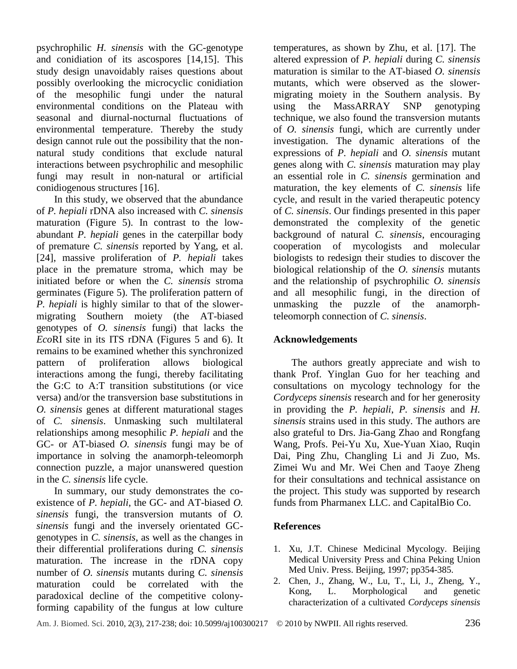psychrophilic *H. sinensis* with the GC-genotype and conidiation of its ascospores [14,15]. This study design unavoidably raises questions about possibly overlooking the microcyclic conidiation of the mesophilic fungi under the natural environmental conditions on the Plateau with seasonal and diurnal-nocturnal fluctuations of environmental temperature. Thereby the study design cannot rule out the possibility that the nonnatural study conditions that exclude natural interactions between psychrophilic and mesophilic fungi may result in non-natural or artificial conidiogenous structures [16].

In this study, we observed that the abundance of *P. hepiali* rDNA also increased with *C. sinensis*  maturation (Figure 5). In contrast to the lowabundant *P. hepiali* genes in the caterpillar body of premature *C. sinensis* reported by Yang, et al. [24], massive proliferation of *P. hepiali* takes place in the premature stroma, which may be initiated before or when the *C. sinensis* stroma germinates (Figure 5). The proliferation pattern of *P. hepiali* is highly similar to that of the slowermigrating Southern moiety (the AT-biased genotypes of *O. sinensis* fungi) that lacks the *Eco*RI site in its ITS rDNA (Figures 5 and 6). It remains to be examined whether this synchronized pattern of proliferation allows biological interactions among the fungi, thereby facilitating the G:C to A:T transition substitutions (or vice versa) and/or the transversion base substitutions in *O. sinensis* genes at different maturational stages of *C. sinensis*. Unmasking such multilateral relationships among mesophilic *P. hepiali* and the GC- or AT-biased *O. sinensis* fungi may be of importance in solving the anamorph-teleomorph connection puzzle, a major unanswered question in the *C. sinensis* life cycle.

In summary, our study demonstrates the coexistence of *P. hepiali*, the GC- and AT-biased *O. sinensis* fungi, the transversion mutants of *O. sinensis* fungi and the inversely orientated GCgenotypes in *C. sinensis*, as well as the changes in their differential proliferations during *C. sinensis* maturation. The increase in the rDNA copy number of *O. sinensis* mutants during *C. sinensis* maturation could be correlated with the paradoxical decline of the competitive colonyforming capability of the fungus at low culture temperatures, as shown by Zhu, et al. [17]. The altered expression of *P. hepiali* during *C. sinensis* maturation is similar to the AT-biased *O. sinensis* mutants, which were observed as the slowermigrating moiety in the Southern analysis. By using the MassARRAY SNP genotyping technique, we also found the transversion mutants of *O. sinensis* fungi, which are currently under investigation. The dynamic alterations of the expressions of *P. hepiali* and *O. sinensis* mutant genes along with *C. sinensis* maturation may play an essential role in *C. sinensis* germination and maturation, the key elements of *C. sinensis* life cycle, and result in the varied therapeutic potency of *C. sinensis*. Our findings presented in this paper demonstrated the complexity of the genetic background of natural *C. sinensis*, encouraging cooperation of mycologists and molecular biologists to redesign their studies to discover the biological relationship of the *O. sinensis* mutants and the relationship of psychrophilic *O. sinensis* and all mesophilic fungi, in the direction of unmasking the puzzle of the anamorphteleomorph connection of *C. sinensis*.

## **Acknowledgements**

The authors greatly appreciate and wish to thank Prof. Yinglan Guo for her teaching and consultations on mycology technology for the *Cordyceps sinensis* research and for her generosity in providing the *P. hepiali*, *P. sinensis* and *H. sinensis* strains used in this study. The authors are also grateful to Drs. Jia-Gang Zhao and Rongfang Wang, Profs. Pei-Yu Xu, Xue-Yuan Xiao, Ruqin Dai, Ping Zhu, Changling Li and Ji Zuo, Ms. Zimei Wu and Mr. Wei Chen and Taoye Zheng for their consultations and technical assistance on the project. This study was supported by research funds from Pharmanex LLC. and CapitalBio Co.

## **References**

- 1. Xu, J.T. Chinese Medicinal Mycology. Beijing Medical University Press and China Peking Union Med Univ. Press. Beijing, 1997; pp354-385.
- 2. [Chen, J.](http://www.ncbi.nlm.nih.gov/entrez/query.fcgi?db=pubmed&cmd=Search&itool=pubmed_AbstractPlus&term=%22Chen+J%22%5BAuthor%5D), [Zhang, W.](http://www.ncbi.nlm.nih.gov/entrez/query.fcgi?db=pubmed&cmd=Search&itool=pubmed_AbstractPlus&term=%22Zhang+W%22%5BAuthor%5D), [Lu, T.](http://www.ncbi.nlm.nih.gov/entrez/query.fcgi?db=pubmed&cmd=Search&itool=pubmed_AbstractPlus&term=%22Lu+T%22%5BAuthor%5D), [Li, J.](http://www.ncbi.nlm.nih.gov/entrez/query.fcgi?db=pubmed&cmd=Search&itool=pubmed_AbstractPlus&term=%22Li+J%22%5BAuthor%5D), [Zheng, Y.](http://www.ncbi.nlm.nih.gov/entrez/query.fcgi?db=pubmed&cmd=Search&itool=pubmed_AbstractPlus&term=%22Zheng+Y%22%5BAuthor%5D), [Kong, L.](http://www.ncbi.nlm.nih.gov/entrez/query.fcgi?db=pubmed&cmd=Search&itool=pubmed_AbstractPlus&term=%22Kong+L%22%5BAuthor%5D) Morphological and genetic characterization of a cultivated *Cordyceps sinensis*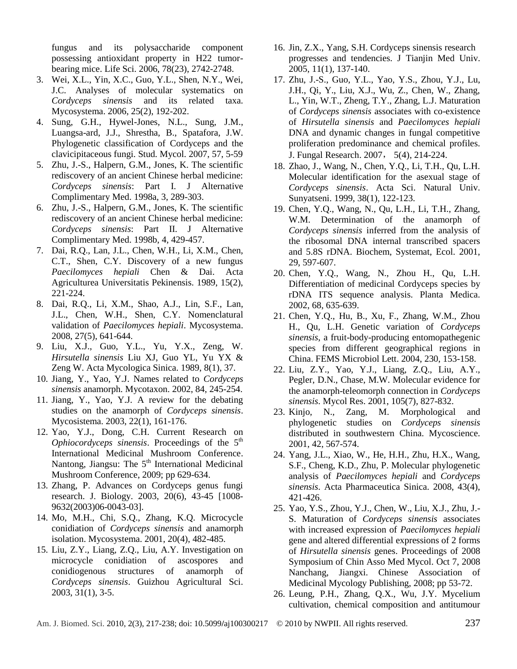fungus and its polysaccharide component possessing antioxidant property in H22 tumorbearing mice. [Life Sci.](javascript:AL_get(this,%20) 2006, 78(23), 2742-2748.

- 3. Wei, X.L., Yin, X.C., Guo, Y.L., Shen, N.Y., Wei, J.C. Analyses of molecular systematics on *Cordyceps sinensis* and its related taxa. Mycosystema. 2006, 25(2), 192-202.
- 4. Sung, G.H., Hywel-Jones, N.L., Sung, J.M., Luangsa-ard, J.J., Shrestha, B., Spatafora, J.W. Phylogenetic classification of Cordyceps and the clavicipitaceous fungi. Stud. Mycol. 2007, 57, 5-59
- 5. Zhu, J.-S., Halpern, G.M., Jones, K. The scientific rediscovery of an ancient Chinese herbal medicine: *Cordyceps sinensis*: Part I. J Alternative Complimentary Med. 1998a, 3, 289-303.
- 6. Zhu, J.-S., Halpern, G.M., Jones, K. The scientific rediscovery of an ancient Chinese herbal medicine: *Cordyceps sinensis*: Part II. J Alternative Complimentary Med. 1998b, 4, 429-457.
- 7. Dai, R.Q., Lan, J.L., Chen, W.H., Li, X.M., Chen, C.T., Shen, C.Y. Discovery of a new fungus *Paecilomyces hepiali* Chen & Dai. Acta Agriculturea Universitatis Pekinensis. 1989, 15(2), 221-224.
- 8. Dai, R.Q., Li, X.M., Shao, A.J., Lin, S.F., Lan, J.L., Chen, W.H., Shen, C.Y. Nomenclatural validation of *Paecilomyces hepiali*. Mycosystema. 2008, 27(5), 641-644.
- 9. Liu, X.J., Guo, Y.L., Yu, Y.X., Zeng, W. *Hirsutella sinensis* Liu XJ, Guo YL, Yu YX & Zeng W. Acta Mycologica Sinica. 1989, 8(1), 37.
- 10. Jiang, Y., Yao, Y.J. Names related to *Cordyceps sinensis* anamorph. Mycotaxon. 2002, 84, 245-254.
- 11. Jiang, Y., Yao, Y.J. A review for the debating studies on the anamorph of *Cordyceps sinensis*. Mycosistema. 2003, 22(1), 161-176.
- 12. Yao, Y.J., Dong, C.H. Current Research on *Ophiocordyceps sinensis.* Proceedings of the  $5<sup>th</sup>$ International Medicinal Mushroom Conference. Nantong, Jiangsu: The 5<sup>th</sup> International Medicinal Mushroom Conference, 2009; pp 629-634.
- 13. Zhang, P. Advances on Cordyceps genus fungi research. J. Biology. 2003, 20(6), 43-45 [1008- 9632(2003)06-0043-03].
- 14. Mo, M.H., Chi, S.Q., Zhang, K.Q. Microcycle conidiation of *Cordyceps sinensis* and anamorph isolation. Mycosystema. 2001, 20(4), 482-485.
- 15. Liu, Z.Y., Liang, Z.Q., Liu, A.Y. Investigation on microcycle conidiation of ascospores and conidiogenous structures of anamorph of *Cordyceps sinensis*. Guizhou Agricultural Sci. 2003, 31(1), 3-5.
- 16. Jin, Z.X., Yang, S.H. Cordyceps sinensis research progresses and tendencies. J Tianjin Med Univ. 2005, 11(1), 137-140.
- 17. Zhu, J.-S., Guo, Y.L., Yao, Y.S., Zhou, Y.J., Lu, J.H., Qi, Y., Liu, X.J., Wu, Z., Chen, W., Zhang, L., Yin, W.T., Zheng, T.Y., Zhang, L.J. Maturation of *Cordyceps sinensis* associates with co-existence of *Hirsutella sinensis* and *Paecilomyces hepiali* DNA and dynamic changes in fungal competitive proliferation predominance and chemical profiles. J. Fungal Research. 2007, 5(4), 214-224.
- 18. Zhao, J., Wang, N., Chen, Y.Q., Li, T.H., Qu, L.H. Molecular identification for the asexual stage of *Cordyceps sinensis*. Acta Sci. Natural Univ. Sunyatseni. 1999, 38(1), 122-123.
- 19. Chen, Y.Q., Wang, N., Qu, L.H., Li, T.H., Zhang, W.M. Determination of the anamorph of *Cordyceps sinensis* inferred from the analysis of the ribosomal DNA internal transcribed spacers and 5.8S rDNA. Biochem, Systemat, Ecol. 2001, 29, 597-607.
- 20. Chen, Y.Q., Wang, N., Zhou H., Qu, L.H. Differentiation of medicinal Cordyceps species by rDNA ITS sequence analysis. Planta Medica. 2002, 68, 635-639.
- 21. Chen, Y.Q., Hu, B., Xu, F., Zhang, W.M., Zhou H., Qu, L.H. Genetic variation of *Cordyceps sinensis*, a fruit-body-producing entomopathegenic species from different geographical regions in China. FEMS Microbiol Lett. 2004, 230, 153-158.
- 22. Liu, Z.Y., Yao, Y.J., Liang, Z.Q., Liu, A.Y., Pegler, D.N., Chase, M.W. Molecular evidence for the anamorph-teleomorph connection in *Cordyceps sinensis*. Mycol Res. 2001, 105(7), 827-832.
- 23. Kinjo, N., Zang, M. Morphological and phylogenetic studies on *Cordyceps sinensis*  distributed in southwestern China. Mycoscience. 2001, 42, 567-574.
- 24. Yang, J.L., Xiao, W., He, H.H., Zhu, H.X., Wang, S.F., Cheng, K.D., Zhu, P. Molecular phylogenetic analysis of *Paecilomyces hepiali* and *Cordyceps sinensis*. Acta Pharmaceutica Sinica. 2008, 43(4), 421-426.
- 25. Yao, Y.S., Zhou, Y.J., Chen, W., Liu, X.J., Zhu, J.- S. Maturation of *Cordyceps sinensis* associates with increased expression of *Paecilomyces hepiali*  gene and altered differential expressions of 2 forms of *Hirsutella sinensis* genes. Proceedings of 2008 Symposium of Chin Asso Med Mycol. Oct 7, 2008 Nanchang, Jiangxi. Chinese Association of Medicinal Mycology Publishing, 2008; pp 53-72.
- 26. [Leung, P.H.](http://www.ncbi.nlm.nih.gov/entrez/query.fcgi?db=pubmed&cmd=Search&itool=pubmed_AbstractPlus&term=%22Leung+PH%22%5BAuthor%5D), [Zhang, Q.X.](http://www.ncbi.nlm.nih.gov/entrez/query.fcgi?db=pubmed&cmd=Search&itool=pubmed_AbstractPlus&term=%22Zhang+QX%22%5BAuthor%5D), [Wu, J.Y.](http://www.ncbi.nlm.nih.gov/entrez/query.fcgi?db=pubmed&cmd=Search&itool=pubmed_AbstractPlus&term=%22Wu+JY%22%5BAuthor%5D) Mycelium cultivation, chemical composition and antitumour